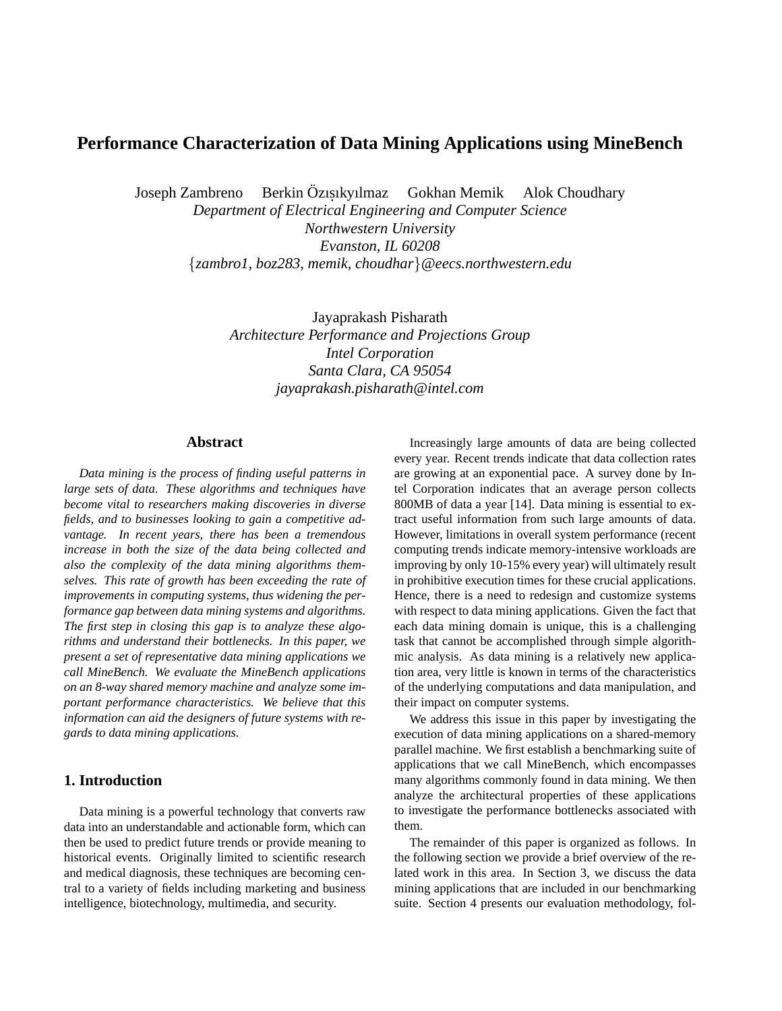# **Performance Characterization of Data Mining Applications using MineBench**

Joseph Zambreno Berkin Özısıkyılmaz Gokhan Memik Alok Choudhary

*Department of Electrical Engineering and Computer Science Northwestern University Evanston, IL 60208 {zambro1, boz283, memik, choudhar}@eecs.northwestern.edu*

> Jayaprakash Pisharath *Architecture Performance and Projections Group Intel Corporation Santa Clara, CA 95054 jayaprakash.pisharath@intel.com*

## **Abstract**

*Data mining is the process of finding useful patterns in large sets of data. These algorithms and techniques have become vital to researchers making discoveries in diverse fields, and to businesses looking to gain a competitive advantage. In recent years, there has been a tremendous increase in both the size of the data being collected and also the complexity of the data mining algorithms themselves. This rate of growth has been exceeding the rate of improvements in computing systems, thus widening the performance gap between data mining systems and algorithms. The first step in closing this gap is to analyze these algorithms and understand their bottlenecks. In this paper, we present a set of representative data mining applications we call MineBench. We evaluate the MineBench applications on an 8-way shared memory machine and analyze some important performance characteristics. We believe that this information can aid the designers of future systems with regards to data mining applications.*

# **1. Introduction**

Data mining is a powerful technology that converts raw data into an understandable and actionable form, which can then be used to predict future trends or provide meaning to historical events. Originally limited to scientific research and medical diagnosis, these techniques are becoming central to a variety of fields including marketing and business intelligence, biotechnology, multimedia, and security.

Increasingly large amounts of data are being collected every year. Recent trends indicate that data collection rates are growing at an exponential pace. A survey done by Intel Corporation indicates that an average person collects 800MB of data a year [14]. Data mining is essential to extract useful information from such large amounts of data. However, limitations in overall system performance (recent computing trends indicate memory-intensive workloads are improving by only 10-15% every year) will ultimately result in prohibitive execution times for these crucial applications. Hence, there is a need to redesign and customize systems with respect to data mining applications. Given the fact that each data mining domain is unique, this is a challenging task that cannot be accomplished through simple algorithmic analysis. As data mining is a relatively new application area, very little is known in terms of the characteristics of the underlying computations and data manipulation, and their impact on computer systems.

We address this issue in this paper by investigating the execution of data mining applications on a shared-memory parallel machine. We first establish a benchmarking suite of applications that we call MineBench, which encompasses many algorithms commonly found in data mining. We then analyze the architectural properties of these applications to investigate the performance bottlenecks associated with them.

The remainder of this paper is organized as follows. In the following section we provide a brief overview of the related work in this area. In Section 3, we discuss the data mining applications that are included in our benchmarking suite. Section 4 presents our evaluation methodology, fol-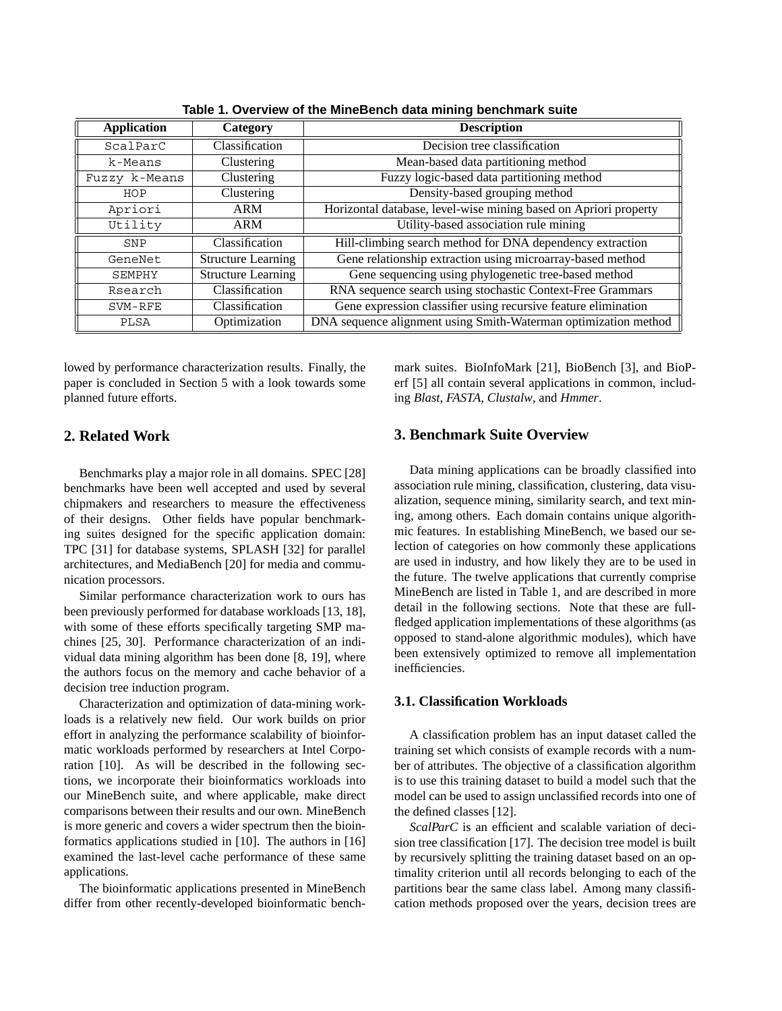| <b>Application</b> | Category                  | <b>Description</b>                                               |  |  |
|--------------------|---------------------------|------------------------------------------------------------------|--|--|
| ScalParC           | Classification            | Decision tree classification                                     |  |  |
| k-Means            | Clustering                | Mean-based data partitioning method                              |  |  |
| Fuzzy k-Means      | Clustering                | Fuzzy logic-based data partitioning method                       |  |  |
| HOP                | Clustering                | Density-based grouping method                                    |  |  |
| Apriori            | <b>ARM</b>                | Horizontal database, level-wise mining based on Apriori property |  |  |
| Utility            | ARM                       | Utility-based association rule mining                            |  |  |
| SNP                | Classification            | Hill-climbing search method for DNA dependency extraction        |  |  |
| GeneNet            | <b>Structure Learning</b> | Gene relationship extraction using microarray-based method       |  |  |
| SEMPHY             | <b>Structure Learning</b> | Gene sequencing using phylogenetic tree-based method             |  |  |
| Rsearch            | Classification            | RNA sequence search using stochastic Context-Free Grammars       |  |  |
| SVM-RFE            | Classification            | Gene expression classifier using recursive feature elimination   |  |  |
| PLSA               | Optimization              | DNA sequence alignment using Smith-Waterman optimization method  |  |  |

**Table 1. Overview of the MineBench data mining benchmark suite**

lowed by performance characterization results. Finally, the paper is concluded in Section 5 with a look towards some planned future efforts.

# **2. Related Work**

Benchmarks play a major role in all domains. SPEC [28] benchmarks have been well accepted and used by several chipmakers and researchers to measure the effectiveness of their designs. Other fields have popular benchmarking suites designed for the specific application domain: TPC [31] for database systems, SPLASH [32] for parallel architectures, and MediaBench [20] for media and communication processors.

Similar performance characterization work to ours has been previously performed for database workloads [13, 18], with some of these efforts specifically targeting SMP machines [25, 30]. Performance characterization of an individual data mining algorithm has been done [8, 19], where the authors focus on the memory and cache behavior of a decision tree induction program.

Characterization and optimization of data-mining workloads is a relatively new field. Our work builds on prior effort in analyzing the performance scalability of bioinformatic workloads performed by researchers at Intel Corporation [10]. As will be described in the following sections, we incorporate their bioinformatics workloads into our MineBench suite, and where applicable, make direct comparisons between their results and our own. MineBench is more generic and covers a wider spectrum then the bioinformatics applications studied in [10]. The authors in [16] examined the last-level cache performance of these same applications.

The bioinformatic applications presented in MineBench differ from other recently-developed bioinformatic benchmark suites. BioInfoMark [21], BioBench [3], and BioPerf [5] all contain several applications in common, including *Blast*, *FASTA*, *Clustalw*, and *Hmmer*.

## **3. Benchmark Suite Overview**

Data mining applications can be broadly classified into association rule mining, classification, clustering, data visualization, sequence mining, similarity search, and text mining, among others. Each domain contains unique algorithmic features. In establishing MineBench, we based our selection of categories on how commonly these applications are used in industry, and how likely they are to be used in the future. The twelve applications that currently comprise MineBench are listed in Table 1, and are described in more detail in the following sections. Note that these are fullfledged application implementations of these algorithms (as opposed to stand-alone algorithmic modules), which have been extensively optimized to remove all implementation inefficiencies.

## **3.1. Classification Workloads**

A classification problem has an input dataset called the training set which consists of example records with a number of attributes. The objective of a classification algorithm is to use this training dataset to build a model such that the model can be used to assign unclassified records into one of the defined classes [12].

*ScalParC* is an efficient and scalable variation of decision tree classification [17]. The decision tree model is built by recursively splitting the training dataset based on an optimality criterion until all records belonging to each of the partitions bear the same class label. Among many classification methods proposed over the years, decision trees are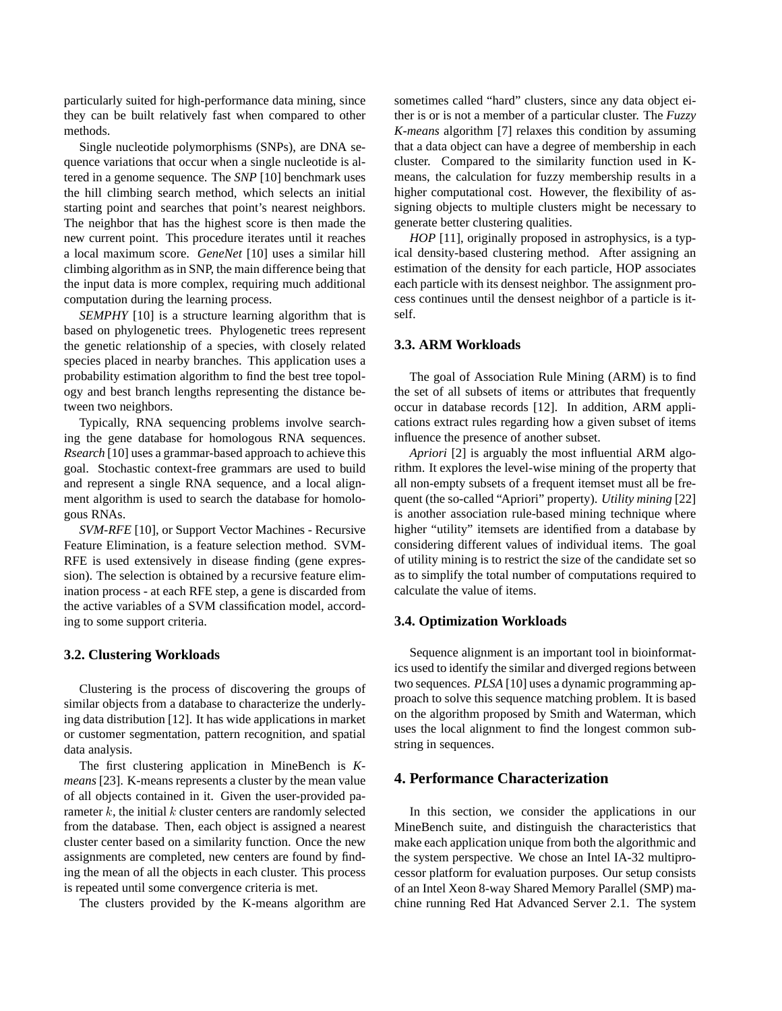particularly suited for high-performance data mining, since they can be built relatively fast when compared to other methods.

Single nucleotide polymorphisms (SNPs), are DNA sequence variations that occur when a single nucleotide is altered in a genome sequence. The *SNP* [10] benchmark uses the hill climbing search method, which selects an initial starting point and searches that point's nearest neighbors. The neighbor that has the highest score is then made the new current point. This procedure iterates until it reaches a local maximum score. *GeneNet* [10] uses a similar hill climbing algorithm as in SNP, the main difference being that the input data is more complex, requiring much additional computation during the learning process.

*SEMPHY* [10] is a structure learning algorithm that is based on phylogenetic trees. Phylogenetic trees represent the genetic relationship of a species, with closely related species placed in nearby branches. This application uses a probability estimation algorithm to find the best tree topology and best branch lengths representing the distance between two neighbors.

Typically, RNA sequencing problems involve searching the gene database for homologous RNA sequences. *Rsearch* [10] uses a grammar-based approach to achieve this goal. Stochastic context-free grammars are used to build and represent a single RNA sequence, and a local alignment algorithm is used to search the database for homologous RNAs.

*SVM-RFE* [10], or Support Vector Machines - Recursive Feature Elimination, is a feature selection method. SVM-RFE is used extensively in disease finding (gene expression). The selection is obtained by a recursive feature elimination process - at each RFE step, a gene is discarded from the active variables of a SVM classification model, according to some support criteria.

#### **3.2. Clustering Workloads**

Clustering is the process of discovering the groups of similar objects from a database to characterize the underlying data distribution [12]. It has wide applications in market or customer segmentation, pattern recognition, and spatial data analysis.

The first clustering application in MineBench is *Kmeans* [23]. K-means represents a cluster by the mean value of all objects contained in it. Given the user-provided parameter *k*, the initial *k* cluster centers are randomly selected from the database. Then, each object is assigned a nearest cluster center based on a similarity function. Once the new assignments are completed, new centers are found by finding the mean of all the objects in each cluster. This process is repeated until some convergence criteria is met.

The clusters provided by the K-means algorithm are

sometimes called "hard" clusters, since any data object either is or is not a member of a particular cluster. The *Fuzzy K-means* algorithm [7] relaxes this condition by assuming that a data object can have a degree of membership in each cluster. Compared to the similarity function used in Kmeans, the calculation for fuzzy membership results in a higher computational cost. However, the flexibility of assigning objects to multiple clusters might be necessary to generate better clustering qualities.

*HOP* [11], originally proposed in astrophysics, is a typical density-based clustering method. After assigning an estimation of the density for each particle, HOP associates each particle with its densest neighbor. The assignment process continues until the densest neighbor of a particle is itself.

## **3.3. ARM Workloads**

The goal of Association Rule Mining (ARM) is to find the set of all subsets of items or attributes that frequently occur in database records [12]. In addition, ARM applications extract rules regarding how a given subset of items influence the presence of another subset.

*Apriori* [2] is arguably the most influential ARM algorithm. It explores the level-wise mining of the property that all non-empty subsets of a frequent itemset must all be frequent (the so-called "Apriori" property). *Utility mining* [22] is another association rule-based mining technique where higher "utility" itemsets are identified from a database by considering different values of individual items. The goal of utility mining is to restrict the size of the candidate set so as to simplify the total number of computations required to calculate the value of items.

#### **3.4. Optimization Workloads**

Sequence alignment is an important tool in bioinformatics used to identify the similar and diverged regions between two sequences. *PLSA* [10] uses a dynamic programming approach to solve this sequence matching problem. It is based on the algorithm proposed by Smith and Waterman, which uses the local alignment to find the longest common substring in sequences.

### **4. Performance Characterization**

In this section, we consider the applications in our MineBench suite, and distinguish the characteristics that make each application unique from both the algorithmic and the system perspective. We chose an Intel IA-32 multiprocessor platform for evaluation purposes. Our setup consists of an Intel Xeon 8-way Shared Memory Parallel (SMP) machine running Red Hat Advanced Server 2.1. The system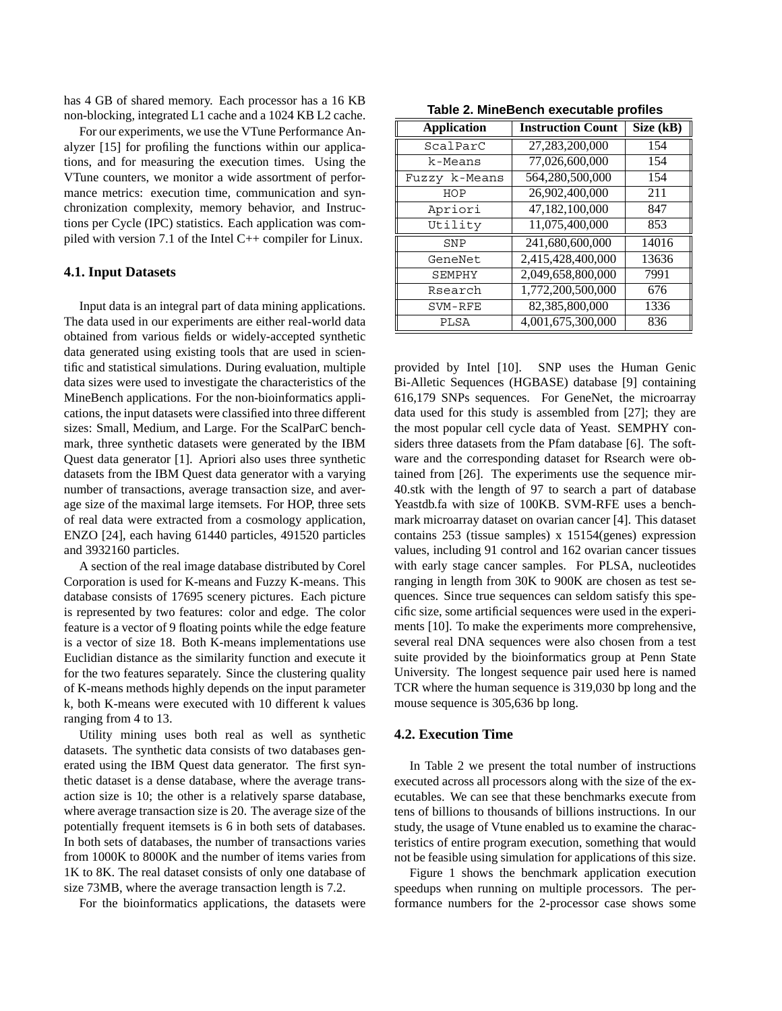has 4 GB of shared memory. Each processor has a 16 KB non-blocking, integrated L1 cache and a 1024 KB L2 cache.

For our experiments, we use the VTune Performance Analyzer [15] for profiling the functions within our applications, and for measuring the execution times. Using the VTune counters, we monitor a wide assortment of performance metrics: execution time, communication and synchronization complexity, memory behavior, and Instructions per Cycle (IPC) statistics. Each application was compiled with version 7.1 of the Intel C++ compiler for Linux.

#### **4.1. Input Datasets**

Input data is an integral part of data mining applications. The data used in our experiments are either real-world data obtained from various fields or widely-accepted synthetic data generated using existing tools that are used in scientific and statistical simulations. During evaluation, multiple data sizes were used to investigate the characteristics of the MineBench applications. For the non-bioinformatics applications, the input datasets were classified into three different sizes: Small, Medium, and Large. For the ScalParC benchmark, three synthetic datasets were generated by the IBM Quest data generator [1]. Apriori also uses three synthetic datasets from the IBM Quest data generator with a varying number of transactions, average transaction size, and average size of the maximal large itemsets. For HOP, three sets of real data were extracted from a cosmology application, ENZO [24], each having 61440 particles, 491520 particles and 3932160 particles.

A section of the real image database distributed by Corel Corporation is used for K-means and Fuzzy K-means. This database consists of 17695 scenery pictures. Each picture is represented by two features: color and edge. The color feature is a vector of 9 floating points while the edge feature is a vector of size 18. Both K-means implementations use Euclidian distance as the similarity function and execute it for the two features separately. Since the clustering quality of K-means methods highly depends on the input parameter k, both K-means were executed with 10 different k values ranging from 4 to 13.

Utility mining uses both real as well as synthetic datasets. The synthetic data consists of two databases generated using the IBM Quest data generator. The first synthetic dataset is a dense database, where the average transaction size is 10; the other is a relatively sparse database, where average transaction size is 20. The average size of the potentially frequent itemsets is 6 in both sets of databases. In both sets of databases, the number of transactions varies from 1000K to 8000K and the number of items varies from 1K to 8K. The real dataset consists of only one database of size 73MB, where the average transaction length is 7.2.

For the bioinformatics applications, the datasets were

| <b>Application</b> | <b>Instruction Count</b> | Size (kB) |  |
|--------------------|--------------------------|-----------|--|
| ScalParC           | 27,283,200,000           | 154       |  |
| k-Means            | 77,026,600,000           | 154       |  |
| Fuzzy k-Means      | 564,280,500,000          | 154       |  |
| HOP                | 26,902,400,000           | 211       |  |
| Apriori            | 47,182,100,000           | 847       |  |
| Utility            | 11,075,400,000           | 853       |  |
| SNP                | 241,680,600,000          | 14016     |  |
| GeneNet            | 2,415,428,400,000        | 13636     |  |
| SEMPHY             | 2,049,658,800,000        | 7991      |  |
| Rsearch            | 1,772,200,500,000        | 676       |  |
| SVM-RFE            | 82,385,800,000           | 1336      |  |
| PLSA               | 4,001,675,300,000        | 836       |  |

provided by Intel [10]. SNP uses the Human Genic Bi-Alletic Sequences (HGBASE) database [9] containing 616,179 SNPs sequences. For GeneNet, the microarray data used for this study is assembled from [27]; they are the most popular cell cycle data of Yeast. SEMPHY considers three datasets from the Pfam database [6]. The software and the corresponding dataset for Rsearch were obtained from [26]. The experiments use the sequence mir-40.stk with the length of 97 to search a part of database Yeastdb.fa with size of 100KB. SVM-RFE uses a benchmark microarray dataset on ovarian cancer [4]. This dataset contains 253 (tissue samples) x 15154(genes) expression values, including 91 control and 162 ovarian cancer tissues with early stage cancer samples. For PLSA, nucleotides ranging in length from 30K to 900K are chosen as test sequences. Since true sequences can seldom satisfy this specific size, some artificial sequences were used in the experiments [10]. To make the experiments more comprehensive, several real DNA sequences were also chosen from a test suite provided by the bioinformatics group at Penn State University. The longest sequence pair used here is named TCR where the human sequence is 319,030 bp long and the mouse sequence is 305,636 bp long.

#### **4.2. Execution Time**

In Table 2 we present the total number of instructions executed across all processors along with the size of the executables. We can see that these benchmarks execute from tens of billions to thousands of billions instructions. In our study, the usage of Vtune enabled us to examine the characteristics of entire program execution, something that would not be feasible using simulation for applications of this size.

Figure 1 shows the benchmark application execution speedups when running on multiple processors. The performance numbers for the 2-processor case shows some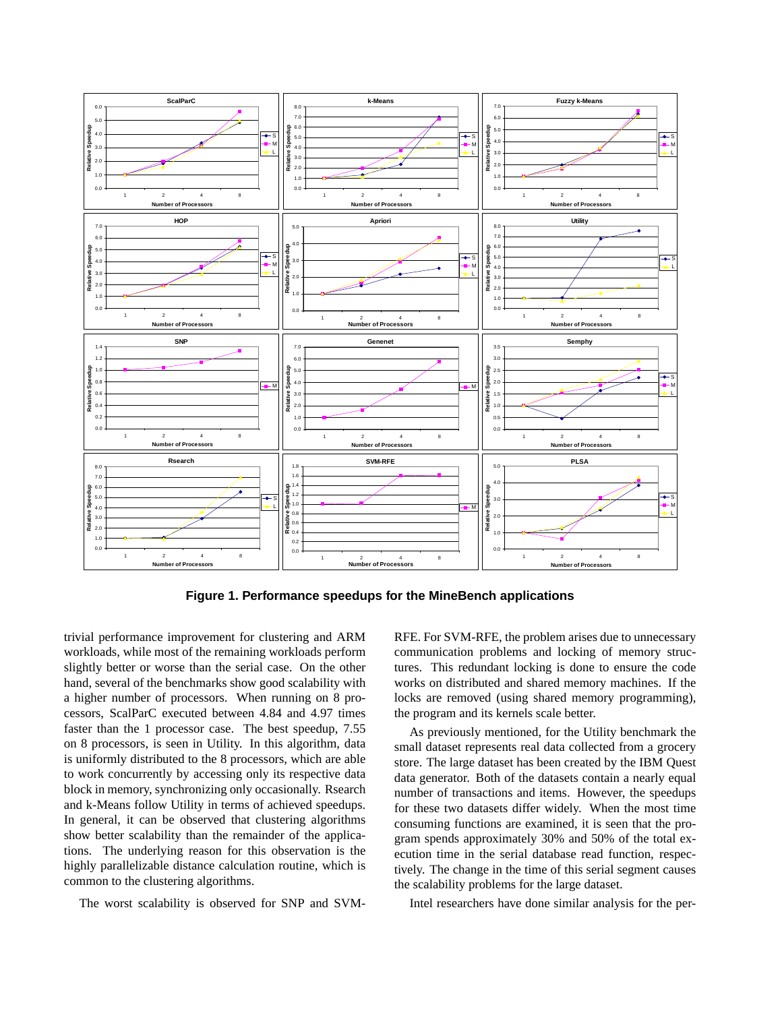

**Figure 1. Performance speedups for the MineBench applications**

trivial performance improvement for clustering and ARM workloads, while most of the remaining workloads perform slightly better or worse than the serial case. On the other hand, several of the benchmarks show good scalability with a higher number of processors. When running on 8 processors, ScalParC executed between 4.84 and 4.97 times faster than the 1 processor case. The best speedup, 7.55 on 8 processors, is seen in Utility. In this algorithm, data is uniformly distributed to the 8 processors, which are able to work concurrently by accessing only its respective data block in memory, synchronizing only occasionally. Rsearch and k-Means follow Utility in terms of achieved speedups. In general, it can be observed that clustering algorithms show better scalability than the remainder of the applications. The underlying reason for this observation is the highly parallelizable distance calculation routine, which is common to the clustering algorithms.

The worst scalability is observed for SNP and SVM-

RFE. For SVM-RFE, the problem arises due to unnecessary communication problems and locking of memory structures. This redundant locking is done to ensure the code works on distributed and shared memory machines. If the locks are removed (using shared memory programming), the program and its kernels scale better.

As previously mentioned, for the Utility benchmark the small dataset represents real data collected from a grocery store. The large dataset has been created by the IBM Quest data generator. Both of the datasets contain a nearly equal number of transactions and items. However, the speedups for these two datasets differ widely. When the most time consuming functions are examined, it is seen that the program spends approximately 30% and 50% of the total execution time in the serial database read function, respectively. The change in the time of this serial segment causes the scalability problems for the large dataset.

Intel researchers have done similar analysis for the per-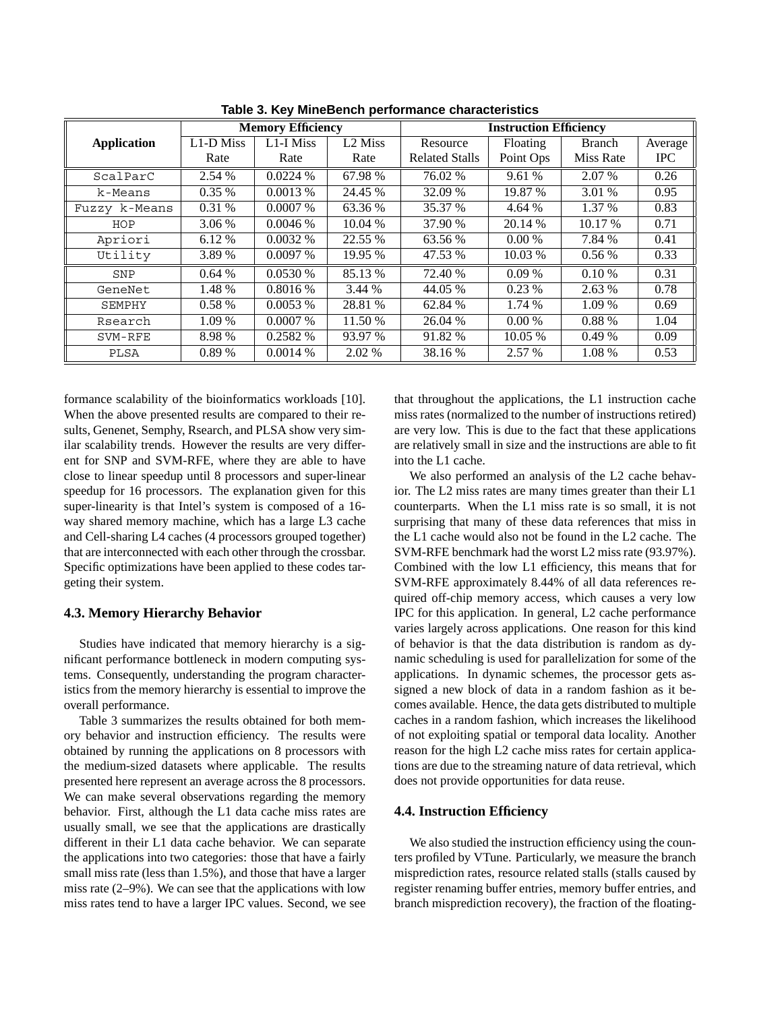|                    | <b>Memory Efficiency</b> |            |                     | <b>Instruction Efficiency</b> |           |               |            |
|--------------------|--------------------------|------------|---------------------|-------------------------------|-----------|---------------|------------|
| <b>Application</b> | L1-D Miss                | L1-I Miss  | L <sub>2</sub> Miss | Resource                      | Floating  | <b>Branch</b> | Average    |
|                    | Rate                     | Rate       | Rate                | <b>Related Stalls</b>         | Point Ops | Miss Rate     | <b>IPC</b> |
| ScalParC           | 2.54 %                   | 0.0224%    | 67.98 %             | 76.02 %                       | 9.61 %    | 2.07 %        | 0.26       |
| k-Means            | $0.35\%$                 | 0.0013%    | 24.45 %             | 32.09 %                       | 19.87 %   | 3.01 %        | 0.95       |
| Fuzzy k-Means      | 0.31%                    | $0.0007\%$ | 63.36 %             | 35.37 %                       | 4.64 %    | 1.37 %        | 0.83       |
| HOP                | 3.06 %                   | 0.0046%    | 10.04 %             | 37.90 %                       | 20.14 %   | 10.17 %       | 0.71       |
| Apriori            | 6.12 %                   | $0.0032\%$ | 22.55 %             | 63.56 %                       | $0.00\%$  | 7.84 %        | 0.41       |
| Utility            | 3.89 %                   | 0.0097%    | 19.95 %             | 47.53 %                       | 10.03 %   | $0.56\%$      | 0.33       |
| SNP                | 0.64%                    | 0.0530%    | 85.13 %             | 72.40 %                       | 0.09%     | 0.10%         | 0.31       |
| GeneNet            | 1.48 %                   | 0.8016%    | 3.44 %              | 44.05 %                       | $0.23\%$  | 2.63 %        | 0.78       |
| SEMPHY             | 0.58%                    | 0.0053%    | 28.81 %             | 62.84 %                       | 1.74 %    | 1.09 %        | 0.69       |
| Rsearch            | 1.09 %                   | $0.0007\%$ | 11.50 %             | 26.04 %                       | $0.00\%$  | 0.88 %        | 1.04       |
| SVM-RFE            | 8.98 %                   | 0.2582 %   | 93.97 %             | 91.82 %                       | 10.05 %   | 0.49%         | 0.09       |
| PLSA               | 0.89%                    | 0.0014%    | 2.02 %              | 38.16 %                       | 2.57 %    | 1.08 %        | 0.53       |

**Table 3. Key MineBench performance characteristics**

formance scalability of the bioinformatics workloads [10]. When the above presented results are compared to their results, Genenet, Semphy, Rsearch, and PLSA show very similar scalability trends. However the results are very different for SNP and SVM-RFE, where they are able to have close to linear speedup until 8 processors and super-linear speedup for 16 processors. The explanation given for this super-linearity is that Intel's system is composed of a 16 way shared memory machine, which has a large L3 cache and Cell-sharing L4 caches (4 processors grouped together) that are interconnected with each other through the crossbar. Specific optimizations have been applied to these codes targeting their system.

#### **4.3. Memory Hierarchy Behavior**

Studies have indicated that memory hierarchy is a significant performance bottleneck in modern computing systems. Consequently, understanding the program characteristics from the memory hierarchy is essential to improve the overall performance.

Table 3 summarizes the results obtained for both memory behavior and instruction efficiency. The results were obtained by running the applications on 8 processors with the medium-sized datasets where applicable. The results presented here represent an average across the 8 processors. We can make several observations regarding the memory behavior. First, although the L1 data cache miss rates are usually small, we see that the applications are drastically different in their L1 data cache behavior. We can separate the applications into two categories: those that have a fairly small miss rate (less than 1.5%), and those that have a larger miss rate (2–9%). We can see that the applications with low miss rates tend to have a larger IPC values. Second, we see that throughout the applications, the L1 instruction cache miss rates (normalized to the number of instructions retired) are very low. This is due to the fact that these applications are relatively small in size and the instructions are able to fit into the L1 cache.

We also performed an analysis of the L2 cache behavior. The L2 miss rates are many times greater than their L1 counterparts. When the L1 miss rate is so small, it is not surprising that many of these data references that miss in the L1 cache would also not be found in the L2 cache. The SVM-RFE benchmark had the worst L2 miss rate (93.97%). Combined with the low L1 efficiency, this means that for SVM-RFE approximately 8.44% of all data references required off-chip memory access, which causes a very low IPC for this application. In general, L2 cache performance varies largely across applications. One reason for this kind of behavior is that the data distribution is random as dynamic scheduling is used for parallelization for some of the applications. In dynamic schemes, the processor gets assigned a new block of data in a random fashion as it becomes available. Hence, the data gets distributed to multiple caches in a random fashion, which increases the likelihood of not exploiting spatial or temporal data locality. Another reason for the high L2 cache miss rates for certain applications are due to the streaming nature of data retrieval, which does not provide opportunities for data reuse.

#### **4.4. Instruction Efficiency**

We also studied the instruction efficiency using the counters profiled by VTune. Particularly, we measure the branch misprediction rates, resource related stalls (stalls caused by register renaming buffer entries, memory buffer entries, and branch misprediction recovery), the fraction of the floating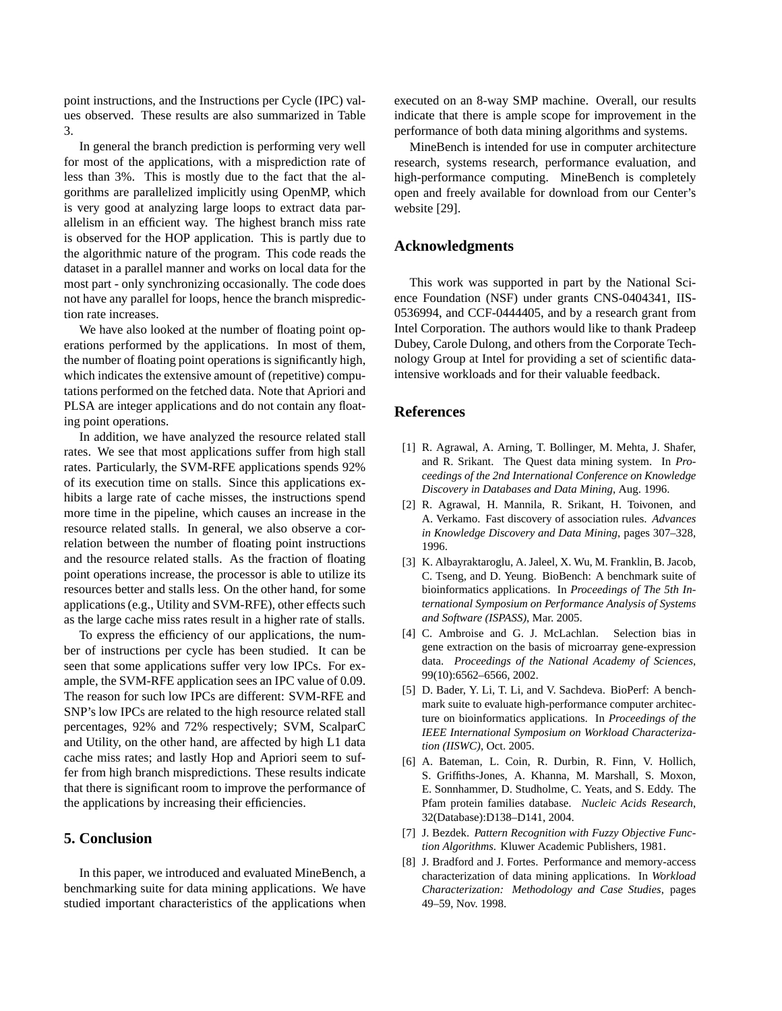point instructions, and the Instructions per Cycle (IPC) values observed. These results are also summarized in Table 3.

In general the branch prediction is performing very well for most of the applications, with a misprediction rate of less than 3%. This is mostly due to the fact that the algorithms are parallelized implicitly using OpenMP, which is very good at analyzing large loops to extract data parallelism in an efficient way. The highest branch miss rate is observed for the HOP application. This is partly due to the algorithmic nature of the program. This code reads the dataset in a parallel manner and works on local data for the most part - only synchronizing occasionally. The code does not have any parallel for loops, hence the branch misprediction rate increases.

We have also looked at the number of floating point operations performed by the applications. In most of them, the number of floating point operations is significantly high, which indicates the extensive amount of (repetitive) computations performed on the fetched data. Note that Apriori and PLSA are integer applications and do not contain any floating point operations.

In addition, we have analyzed the resource related stall rates. We see that most applications suffer from high stall rates. Particularly, the SVM-RFE applications spends 92% of its execution time on stalls. Since this applications exhibits a large rate of cache misses, the instructions spend more time in the pipeline, which causes an increase in the resource related stalls. In general, we also observe a correlation between the number of floating point instructions and the resource related stalls. As the fraction of floating point operations increase, the processor is able to utilize its resources better and stalls less. On the other hand, for some applications (e.g., Utility and SVM-RFE), other effects such as the large cache miss rates result in a higher rate of stalls.

To express the efficiency of our applications, the number of instructions per cycle has been studied. It can be seen that some applications suffer very low IPCs. For example, the SVM-RFE application sees an IPC value of 0.09. The reason for such low IPCs are different: SVM-RFE and SNP's low IPCs are related to the high resource related stall percentages, 92% and 72% respectively; SVM, ScalparC and Utility, on the other hand, are affected by high L1 data cache miss rates; and lastly Hop and Apriori seem to suffer from high branch mispredictions. These results indicate that there is significant room to improve the performance of the applications by increasing their efficiencies.

### **5. Conclusion**

In this paper, we introduced and evaluated MineBench, a benchmarking suite for data mining applications. We have studied important characteristics of the applications when executed on an 8-way SMP machine. Overall, our results indicate that there is ample scope for improvement in the performance of both data mining algorithms and systems.

MineBench is intended for use in computer architecture research, systems research, performance evaluation, and high-performance computing. MineBench is completely open and freely available for download from our Center's website [29].

## **Acknowledgments**

This work was supported in part by the National Science Foundation (NSF) under grants CNS-0404341, IIS-0536994, and CCF-0444405, and by a research grant from Intel Corporation. The authors would like to thank Pradeep Dubey, Carole Dulong, and others from the Corporate Technology Group at Intel for providing a set of scientific dataintensive workloads and for their valuable feedback.

#### **References**

- [1] R. Agrawal, A. Arning, T. Bollinger, M. Mehta, J. Shafer, and R. Srikant. The Quest data mining system. In *Proceedings of the 2nd International Conference on Knowledge Discovery in Databases and Data Mining*, Aug. 1996.
- [2] R. Agrawal, H. Mannila, R. Srikant, H. Toivonen, and A. Verkamo. Fast discovery of association rules. *Advances in Knowledge Discovery and Data Mining*, pages 307–328, 1996.
- [3] K. Albayraktaroglu, A. Jaleel, X. Wu, M. Franklin, B. Jacob, C. Tseng, and D. Yeung. BioBench: A benchmark suite of bioinformatics applications. In *Proceedings of The 5th International Symposium on Performance Analysis of Systems and Software (ISPASS)*, Mar. 2005.
- [4] C. Ambroise and G. J. McLachlan. Selection bias in gene extraction on the basis of microarray gene-expression data. *Proceedings of the National Academy of Sciences*, 99(10):6562–6566, 2002.
- [5] D. Bader, Y. Li, T. Li, and V. Sachdeva. BioPerf: A benchmark suite to evaluate high-performance computer architecture on bioinformatics applications. In *Proceedings of the IEEE International Symposium on Workload Characterization (IISWC)*, Oct. 2005.
- [6] A. Bateman, L. Coin, R. Durbin, R. Finn, V. Hollich, S. Griffiths-Jones, A. Khanna, M. Marshall, S. Moxon, E. Sonnhammer, D. Studholme, C. Yeats, and S. Eddy. The Pfam protein families database. *Nucleic Acids Research*, 32(Database):D138–D141, 2004.
- [7] J. Bezdek. *Pattern Recognition with Fuzzy Objective Function Algorithms*. Kluwer Academic Publishers, 1981.
- [8] J. Bradford and J. Fortes. Performance and memory-access characterization of data mining applications. In *Workload Characterization: Methodology and Case Studies*, pages 49–59, Nov. 1998.